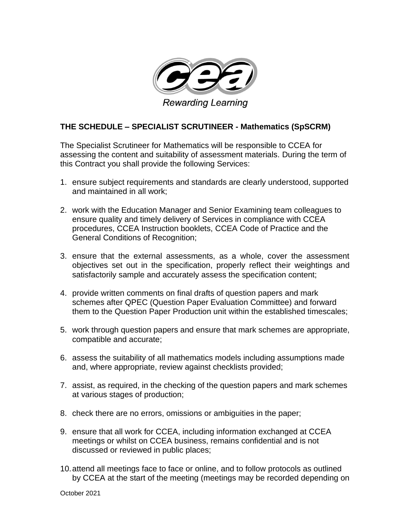

## **THE SCHEDULE – SPECIALIST SCRUTINEER - Mathematics (SpSCRM)**

The Specialist Scrutineer for Mathematics will be responsible to CCEA for assessing the content and suitability of assessment materials. During the term of this Contract you shall provide the following Services:

- 1. ensure subject requirements and standards are clearly understood, supported and maintained in all work;
- 2. work with the Education Manager and Senior Examining team colleagues to ensure quality and timely delivery of Services in compliance with CCEA procedures, CCEA Instruction booklets, CCEA Code of Practice and the General Conditions of Recognition;
- 3. ensure that the external assessments, as a whole, cover the assessment objectives set out in the specification, properly reflect their weightings and satisfactorily sample and accurately assess the specification content;
- 4. provide written comments on final drafts of question papers and mark schemes after QPEC (Question Paper Evaluation Committee) and forward them to the Question Paper Production unit within the established timescales;
- 5. work through question papers and ensure that mark schemes are appropriate, compatible and accurate;
- 6. assess the suitability of all mathematics models including assumptions made and, where appropriate, review against checklists provided;
- 7. assist, as required, in the checking of the question papers and mark schemes at various stages of production;
- 8. check there are no errors, omissions or ambiguities in the paper;
- 9. ensure that all work for CCEA, including information exchanged at CCEA meetings or whilst on CCEA business, remains confidential and is not discussed or reviewed in public places;
- 10.attend all meetings face to face or online, and to follow protocols as outlined by CCEA at the start of the meeting (meetings may be recorded depending on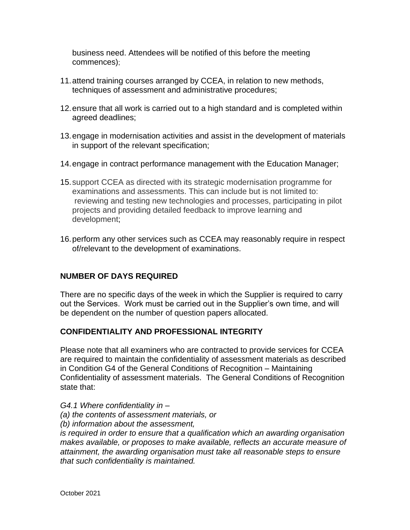business need. Attendees will be notified of this before the meeting commences);

- 11.attend training courses arranged by CCEA, in relation to new methods, techniques of assessment and administrative procedures;
- 12.ensure that all work is carried out to a high standard and is completed within agreed deadlines;
- 13.engage in modernisation activities and assist in the development of materials in support of the relevant specification;
- 14.engage in contract performance management with the Education Manager;
- 15.support CCEA as directed with its strategic modernisation programme for examinations and assessments. This can include but is not limited to: reviewing and testing new technologies and processes, participating in pilot projects and providing detailed feedback to improve learning and development;
- 16.perform any other services such as CCEA may reasonably require in respect of/relevant to the development of examinations.

## **NUMBER OF DAYS REQUIRED**

There are no specific days of the week in which the Supplier is required to carry out the Services. Work must be carried out in the Supplier's own time, and will be dependent on the number of question papers allocated.

## **CONFIDENTIALITY AND PROFESSIONAL INTEGRITY**

Please note that all examiners who are contracted to provide services for CCEA are required to maintain the confidentiality of assessment materials as described in Condition G4 of the General Conditions of Recognition – Maintaining Confidentiality of assessment materials. The General Conditions of Recognition state that:

*G4.1 Where confidentiality in –*

- *(a) the contents of assessment materials, or*
- *(b) information about the assessment,*

*is required in order to ensure that a qualification which an awarding organisation makes available, or proposes to make available, reflects an accurate measure of attainment, the awarding organisation must take all reasonable steps to ensure that such confidentiality is maintained.*